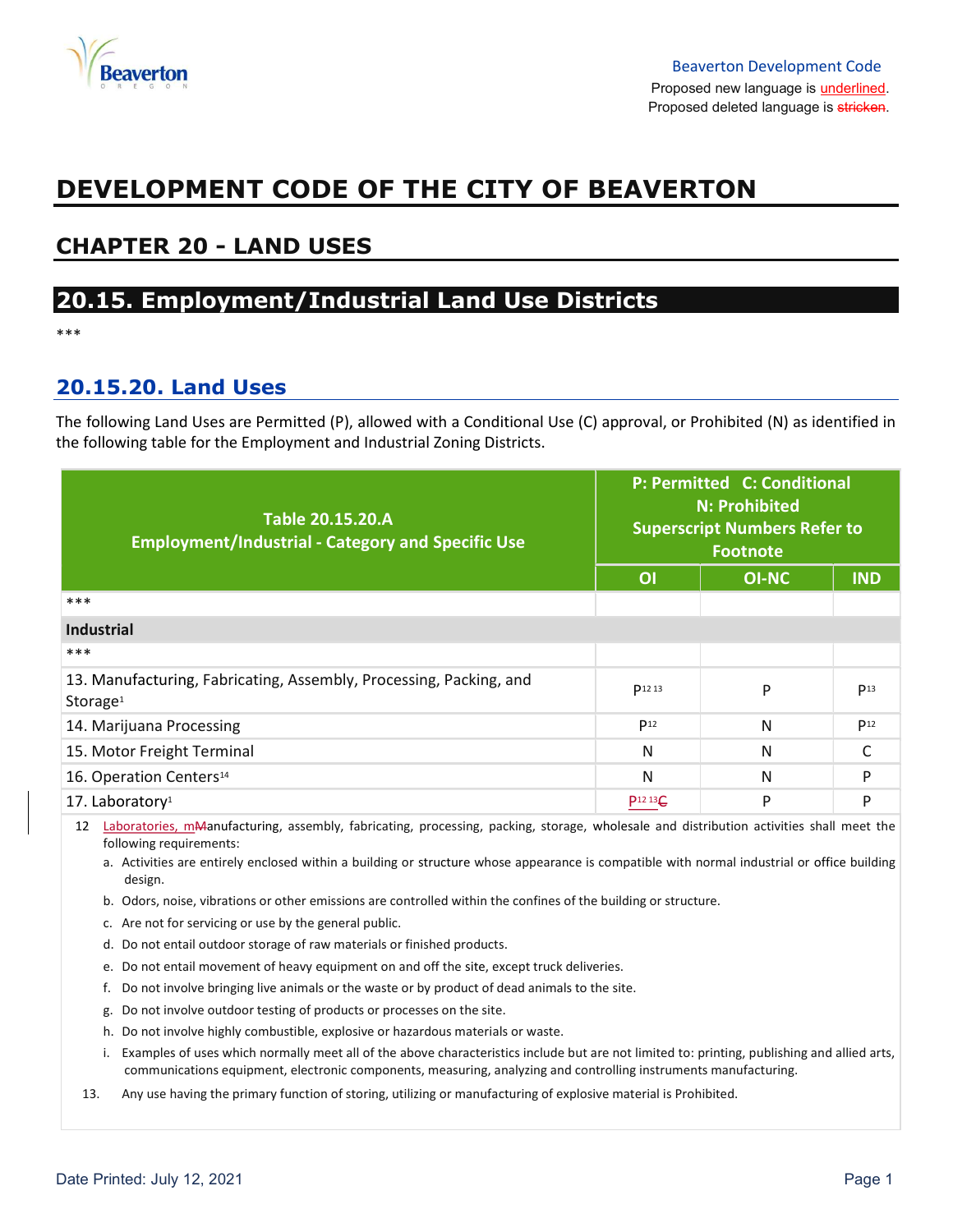

# DEVELOPMENT CODE OF THE CITY OF BEAVERTON

# CHAPTER 20 - LAND USES

### 20.15. Employment/Industrial Land Use Districts

\*\*\*

#### 20.15.20. Land Uses

The following Land Uses are Permitted (P), allowed with a Conditional Use (C) approval, or Prohibited (N) as identified in the following table for the Employment and Industrial Zoning Districts.

| <b>Table 20.15.20.A</b><br><b>Employment/Industrial - Category and Specific Use</b>                                                                                                                                                                                                                                                                                                                                                                                                                                                                                                                                                                                                                                                                                                                                                                                                                                                                                                                                                                                                                                                                                                                                                                                                                                                                                 | P: Permitted C: Conditional<br><b>N: Prohibited</b><br><b>Superscript Numbers Refer to</b><br><b>Footnote</b> |              |                 |  |  |  |  |  |  |
|---------------------------------------------------------------------------------------------------------------------------------------------------------------------------------------------------------------------------------------------------------------------------------------------------------------------------------------------------------------------------------------------------------------------------------------------------------------------------------------------------------------------------------------------------------------------------------------------------------------------------------------------------------------------------------------------------------------------------------------------------------------------------------------------------------------------------------------------------------------------------------------------------------------------------------------------------------------------------------------------------------------------------------------------------------------------------------------------------------------------------------------------------------------------------------------------------------------------------------------------------------------------------------------------------------------------------------------------------------------------|---------------------------------------------------------------------------------------------------------------|--------------|-----------------|--|--|--|--|--|--|
|                                                                                                                                                                                                                                                                                                                                                                                                                                                                                                                                                                                                                                                                                                                                                                                                                                                                                                                                                                                                                                                                                                                                                                                                                                                                                                                                                                     | O <sub>1</sub>                                                                                                | <b>OI-NC</b> | <b>IND</b>      |  |  |  |  |  |  |
| ***                                                                                                                                                                                                                                                                                                                                                                                                                                                                                                                                                                                                                                                                                                                                                                                                                                                                                                                                                                                                                                                                                                                                                                                                                                                                                                                                                                 |                                                                                                               |              |                 |  |  |  |  |  |  |
| <b>Industrial</b>                                                                                                                                                                                                                                                                                                                                                                                                                                                                                                                                                                                                                                                                                                                                                                                                                                                                                                                                                                                                                                                                                                                                                                                                                                                                                                                                                   |                                                                                                               |              |                 |  |  |  |  |  |  |
| ***                                                                                                                                                                                                                                                                                                                                                                                                                                                                                                                                                                                                                                                                                                                                                                                                                                                                                                                                                                                                                                                                                                                                                                                                                                                                                                                                                                 |                                                                                                               |              |                 |  |  |  |  |  |  |
| 13. Manufacturing, Fabricating, Assembly, Processing, Packing, and<br>Storage <sup>1</sup>                                                                                                                                                                                                                                                                                                                                                                                                                                                                                                                                                                                                                                                                                                                                                                                                                                                                                                                                                                                                                                                                                                                                                                                                                                                                          | P <sub>12</sub> 13                                                                                            | P            | P <sub>13</sub> |  |  |  |  |  |  |
| 14. Marijuana Processing                                                                                                                                                                                                                                                                                                                                                                                                                                                                                                                                                                                                                                                                                                                                                                                                                                                                                                                                                                                                                                                                                                                                                                                                                                                                                                                                            | P <sub>12</sub>                                                                                               | N            | P <sub>12</sub> |  |  |  |  |  |  |
| 15. Motor Freight Terminal                                                                                                                                                                                                                                                                                                                                                                                                                                                                                                                                                                                                                                                                                                                                                                                                                                                                                                                                                                                                                                                                                                                                                                                                                                                                                                                                          | N                                                                                                             | N            | C               |  |  |  |  |  |  |
| 16. Operation Centers <sup>14</sup>                                                                                                                                                                                                                                                                                                                                                                                                                                                                                                                                                                                                                                                                                                                                                                                                                                                                                                                                                                                                                                                                                                                                                                                                                                                                                                                                 | N                                                                                                             | N            | P               |  |  |  |  |  |  |
| 17. Laboratory <sup>1</sup>                                                                                                                                                                                                                                                                                                                                                                                                                                                                                                                                                                                                                                                                                                                                                                                                                                                                                                                                                                                                                                                                                                                                                                                                                                                                                                                                         | P <sub>12</sub> 13 <sup>C</sup>                                                                               | P            | P               |  |  |  |  |  |  |
| Laboratories, mManufacturing, assembly, fabricating, processing, packing, storage, wholesale and distribution activities shall meet the<br>12<br>following requirements:<br>a. Activities are entirely enclosed within a building or structure whose appearance is compatible with normal industrial or office building<br>design.<br>b. Odors, noise, vibrations or other emissions are controlled within the confines of the building or structure.<br>c. Are not for servicing or use by the general public.<br>d. Do not entail outdoor storage of raw materials or finished products.<br>e. Do not entail movement of heavy equipment on and off the site, except truck deliveries.<br>Do not involve bringing live animals or the waste or by product of dead animals to the site.<br>f.<br>Do not involve outdoor testing of products or processes on the site.<br>g.<br>h. Do not involve highly combustible, explosive or hazardous materials or waste.<br>Examples of uses which normally meet all of the above characteristics include but are not limited to: printing, publishing and allied arts,<br>i.<br>communications equipment, electronic components, measuring, analyzing and controlling instruments manufacturing.<br>Any use having the primary function of storing, utilizing or manufacturing of explosive material is Prohibited.<br>13. |                                                                                                               |              |                 |  |  |  |  |  |  |